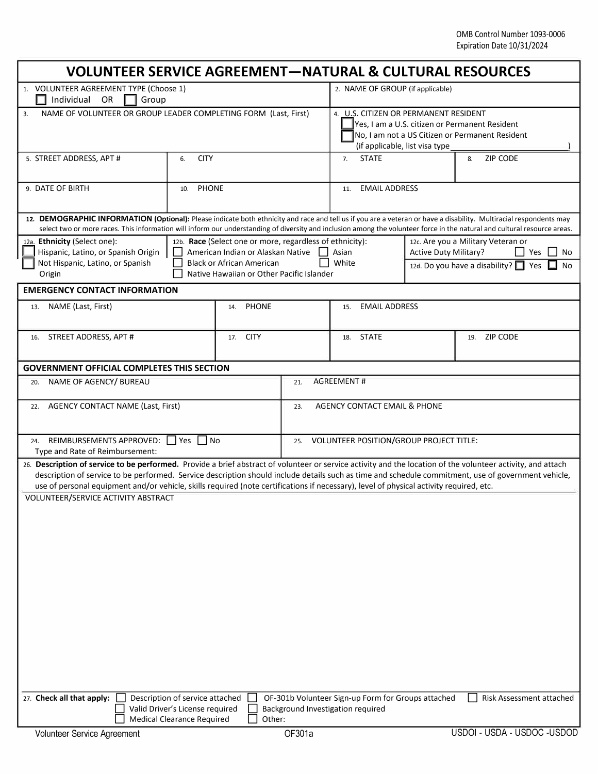| VOLUNTEER SERVICE AGREEMENT—NATURAL & CULTURAL RESOURCES                                                                                                                                                                                                                                                                                                                                                                                                       |                                 |                                                                                                                                                                                |                                                |                                                                                                                                                                              |                              |                                                                                               |  |
|----------------------------------------------------------------------------------------------------------------------------------------------------------------------------------------------------------------------------------------------------------------------------------------------------------------------------------------------------------------------------------------------------------------------------------------------------------------|---------------------------------|--------------------------------------------------------------------------------------------------------------------------------------------------------------------------------|------------------------------------------------|------------------------------------------------------------------------------------------------------------------------------------------------------------------------------|------------------------------|-----------------------------------------------------------------------------------------------|--|
| 1. VOLUNTEER AGREEMENT TYPE (Choose 1)<br>Individual<br>Group<br><b>OR</b>                                                                                                                                                                                                                                                                                                                                                                                     |                                 |                                                                                                                                                                                |                                                | 2. NAME OF GROUP (if applicable)                                                                                                                                             |                              |                                                                                               |  |
| NAME OF VOLUNTEER OR GROUP LEADER COMPLETING FORM (Last, First)<br>3.                                                                                                                                                                                                                                                                                                                                                                                          |                                 |                                                                                                                                                                                |                                                | 4. U.S. CITIZEN OR PERMANENT RESIDENT<br>Yes, I am a U.S. citizen or Permanent Resident<br>No, I am not a US Citizen or Permanent Resident<br>(if applicable, list visa type |                              |                                                                                               |  |
| 5. STREET ADDRESS, APT #                                                                                                                                                                                                                                                                                                                                                                                                                                       | <b>CITY</b><br>6.               |                                                                                                                                                                                |                                                | <b>STATE</b><br>7.                                                                                                                                                           |                              | <b>ZIP CODE</b><br>8.                                                                         |  |
| 9. DATE OF BIRTH                                                                                                                                                                                                                                                                                                                                                                                                                                               | <b>PHONE</b><br>10.             |                                                                                                                                                                                |                                                | <b>EMAIL ADDRESS</b><br>11.                                                                                                                                                  |                              |                                                                                               |  |
| 12. DEMOGRAPHIC INFORMATION (Optional): Please indicate both ethnicity and race and tell us if you are a veteran or have a disability. Multiracial respondents may<br>select two or more races. This information will inform our understanding of diversity and inclusion among the volunteer force in the natural and cultural resource areas.                                                                                                                |                                 |                                                                                                                                                                                |                                                |                                                                                                                                                                              |                              |                                                                                               |  |
| 12a. Ethnicity (Select one):<br>Hispanic, Latino, or Spanish Origin<br>Not Hispanic, Latino, or Spanish<br>Origin                                                                                                                                                                                                                                                                                                                                              |                                 | 12b. Race (Select one or more, regardless of ethnicity):<br>American Indian or Alaskan Native<br><b>Black or African American</b><br>Native Hawaiian or Other Pacific Islander |                                                | Asian<br>White                                                                                                                                                               | <b>Active Duty Military?</b> | 12c. Are you a Military Veteran or<br>Yes<br>No<br>12d. Do you have a disability? 1 Yes<br>No |  |
| <b>EMERGENCY CONTACT INFORMATION</b>                                                                                                                                                                                                                                                                                                                                                                                                                           |                                 |                                                                                                                                                                                |                                                |                                                                                                                                                                              |                              |                                                                                               |  |
| NAME (Last, First)<br>13.                                                                                                                                                                                                                                                                                                                                                                                                                                      | PHONE<br>14.                    |                                                                                                                                                                                |                                                | <b>EMAIL ADDRESS</b><br>15.                                                                                                                                                  |                              |                                                                                               |  |
| STREET ADDRESS, APT #<br>16.                                                                                                                                                                                                                                                                                                                                                                                                                                   |                                 | <b>CITY</b><br>17.                                                                                                                                                             |                                                | <b>STATE</b><br>18.                                                                                                                                                          |                              | 19. ZIP CODE                                                                                  |  |
| <b>GOVERNMENT OFFICIAL COMPLETES THIS SECTION</b>                                                                                                                                                                                                                                                                                                                                                                                                              |                                 |                                                                                                                                                                                |                                                |                                                                                                                                                                              |                              |                                                                                               |  |
| NAME OF AGENCY/ BUREAU<br>20.                                                                                                                                                                                                                                                                                                                                                                                                                                  |                                 |                                                                                                                                                                                | <b>AGREEMENT#</b><br>21.                       |                                                                                                                                                                              |                              |                                                                                               |  |
| <b>AGENCY CONTACT NAME (Last, First)</b><br>22.                                                                                                                                                                                                                                                                                                                                                                                                                |                                 |                                                                                                                                                                                | AGENCY CONTACT EMAIL & PHONE<br>23.            |                                                                                                                                                                              |                              |                                                                                               |  |
| REIMBURSEMENTS APPROVED:     Yes     No<br>24.<br>Type and Rate of Reimbursement:                                                                                                                                                                                                                                                                                                                                                                              |                                 |                                                                                                                                                                                | VOLUNTEER POSITION/GROUP PROJECT TITLE:<br>25. |                                                                                                                                                                              |                              |                                                                                               |  |
| 26. Description of service to be performed. Provide a brief abstract of volunteer or service activity and the location of the volunteer activity, and attach<br>description of service to be performed. Service description should include details such as time and schedule commitment, use of government vehicle,<br>use of personal equipment and/or vehicle, skills required (note certifications if necessary), level of physical activity required, etc. |                                 |                                                                                                                                                                                |                                                |                                                                                                                                                                              |                              |                                                                                               |  |
| VOLUNTEER/SERVICE ACTIVITY ABSTRACT<br>27. Check all that apply:                                                                                                                                                                                                                                                                                                                                                                                               | Description of service attached |                                                                                                                                                                                |                                                | OF-301b Volunteer Sign-up Form for Groups attached                                                                                                                           |                              | Risk Assessment attached                                                                      |  |
| Valid Driver's License required<br><b>Medical Clearance Required</b>                                                                                                                                                                                                                                                                                                                                                                                           |                                 |                                                                                                                                                                                | Other:                                         | Background Investigation required                                                                                                                                            |                              |                                                                                               |  |
| Volunteer Service Agreement                                                                                                                                                                                                                                                                                                                                                                                                                                    |                                 |                                                                                                                                                                                | OF301a                                         |                                                                                                                                                                              |                              | USDOI - USDA - USDOC - USDOD                                                                  |  |